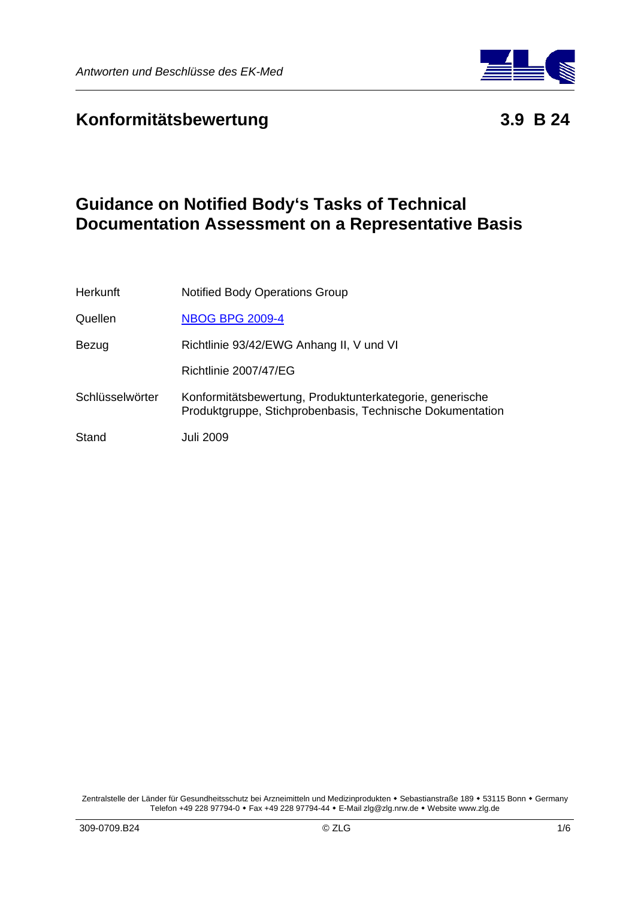

## **Konformitätsbewertung 3.9 B 24**

# **Guidance on Notified Body's Tasks of Technical Documentation Assessment on a Representative Basis**

| <b>Herkunft</b> | <b>Notified Body Operations Group</b>                                                                                 |
|-----------------|-----------------------------------------------------------------------------------------------------------------------|
| Quellen         | <b>NBOG BPG 2009-4</b>                                                                                                |
| Bezug           | Richtlinie 93/42/EWG Anhang II, V und VI                                                                              |
|                 | Richtlinie 2007/47/EG                                                                                                 |
| Schlüsselwörter | Konformitätsbewertung, Produktunterkategorie, generische<br>Produktgruppe, Stichprobenbasis, Technische Dokumentation |
| Stand           | Juli 2009                                                                                                             |

Zentralstelle der Länder für Gesundheitsschutz bei Arzneimitteln und Medizinprodukten • Sebastianstraße 189 • 53115 Bonn • Germany Telefon +49 228 97794-0 • Fax +49 228 97794-44 • E-Mail zlg@zlg.nrw.de • Website www.zlg.de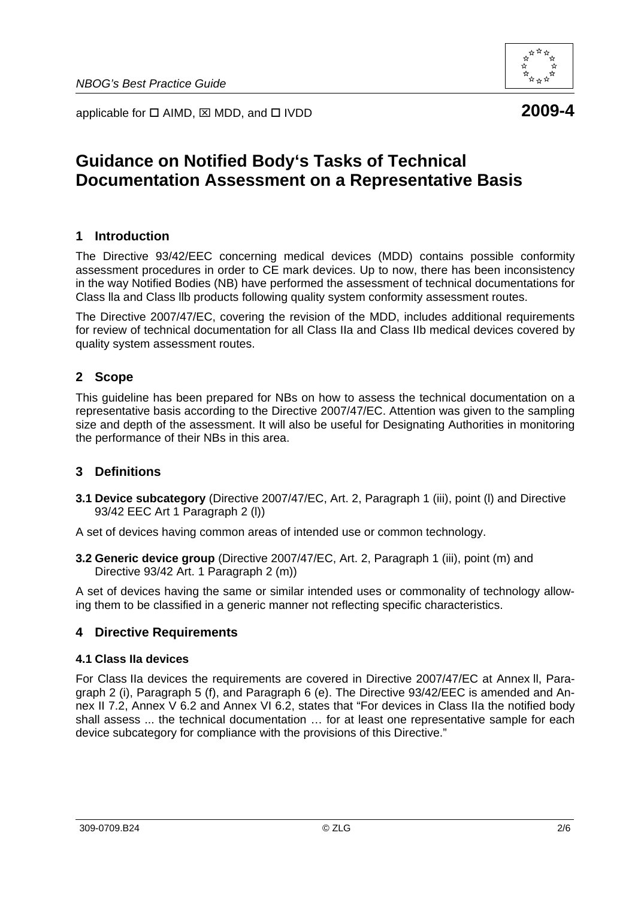

## **Guidance on Notified Body's Tasks of Technical Documentation Assessment on a Representative Basis**

#### **1 Introduction**

The Directive 93/42/EEC concerning medical devices (MDD) contains possible conformity assessment procedures in order to CE mark devices. Up to now, there has been inconsistency in the way Notified Bodies (NB) have performed the assessment of technical documentations for Class lla and Class llb products following quality system conformity assessment routes.

The Directive 2007/47/EC, covering the revision of the MDD, includes additional requirements for review of technical documentation for all Class IIa and Class IIb medical devices covered by quality system assessment routes.

## **2 Scope**

This guideline has been prepared for NBs on how to assess the technical documentation on a representative basis according to the Directive 2007/47/EC. Attention was given to the sampling size and depth of the assessment. It will also be useful for Designating Authorities in monitoring the performance of their NBs in this area.

#### **3 Definitions**

**3.1 Device subcategory** (Directive 2007/47/EC, Art. 2, Paragraph 1 (iii), point (l) and Directive 93/42 EEC Art 1 Paragraph 2 (l))

A set of devices having common areas of intended use or common technology.

**3.2 Generic device group** (Directive 2007/47/EC, Art. 2, Paragraph 1 (iii), point (m) and Directive 93/42 Art. 1 Paragraph 2 (m))

A set of devices having the same or similar intended uses or commonality of technology allowing them to be classified in a generic manner not reflecting specific characteristics.

## **4 Directive Requirements**

#### **4.1 Class IIa devices**

For Class IIa devices the requirements are covered in Directive 2007/47/EC at Annex ll, Paragraph 2 (i), Paragraph 5 (f), and Paragraph 6 (e). The Directive 93/42/EEC is amended and Annex II 7.2, Annex V 6.2 and Annex VI 6.2, states that "For devices in Class IIa the notified body shall assess ... the technical documentation … for at least one representative sample for each device subcategory for compliance with the provisions of this Directive."

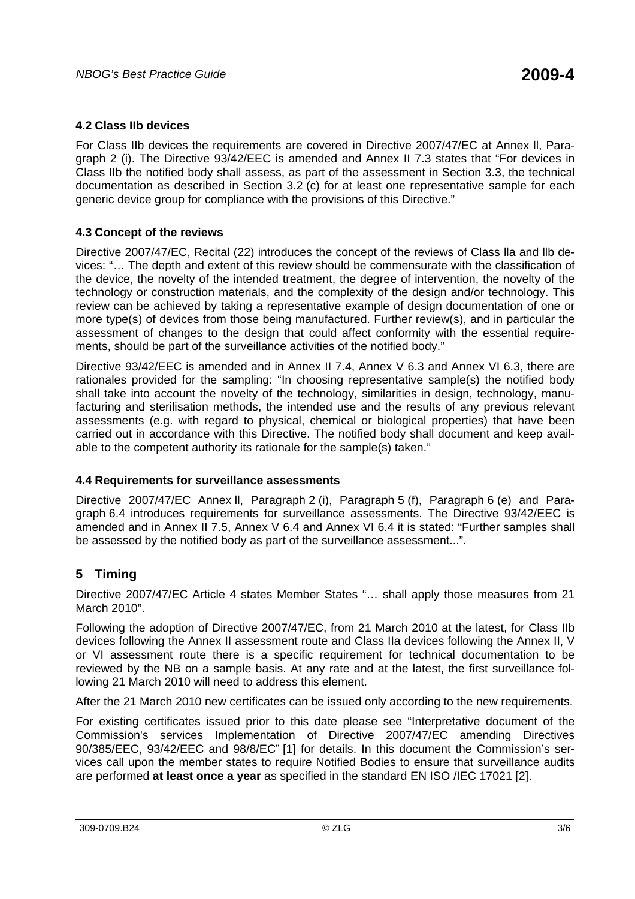#### **4.2 Class IIb devices**

For Class IIb devices the requirements are covered in Directive 2007/47/EC at Annex ll, Paragraph 2 (i). The Directive 93/42/EEC is amended and Annex II 7.3 states that "For devices in Class IIb the notified body shall assess, as part of the assessment in Section 3.3, the technical documentation as described in Section 3.2 (c) for at least one representative sample for each generic device group for compliance with the provisions of this Directive."

#### **4.3 Concept of the reviews**

Directive 2007/47/EC, Recital (22) introduces the concept of the reviews of Class lla and llb devices: "… The depth and extent of this review should be commensurate with the classification of the device, the novelty of the intended treatment, the degree of intervention, the novelty of the technology or construction materials, and the complexity of the design and/or technology. This review can be achieved by taking a representative example of design documentation of one or more type(s) of devices from those being manufactured. Further review(s), and in particular the assessment of changes to the design that could affect conformity with the essential requirements, should be part of the surveillance activities of the notified body."

Directive 93/42/EEC is amended and in Annex II 7.4, Annex V 6.3 and Annex VI 6.3, there are rationales provided for the sampling: "In choosing representative sample(s) the notified body shall take into account the novelty of the technology, similarities in design, technology, manufacturing and sterilisation methods, the intended use and the results of any previous relevant assessments (e.g. with regard to physical, chemical or biological properties) that have been carried out in accordance with this Directive. The notified body shall document and keep available to the competent authority its rationale for the sample(s) taken."

#### **4.4 Requirements for surveillance assessments**

Directive 2007/47/EC Annex ll, Paragraph 2 (i), Paragraph 5 (f), Paragraph 6 (e) and Paragraph 6.4 introduces requirements for surveillance assessments. The Directive 93/42/EEC is amended and in Annex II 7.5, Annex V 6.4 and Annex VI 6.4 it is stated: "Further samples shall be assessed by the notified body as part of the surveillance assessment...".

#### **5 Timing**

Directive 2007/47/EC Article 4 states Member States "… shall apply those measures from 21 March 2010".

Following the adoption of Directive 2007/47/EC, from 21 March 2010 at the latest, for Class IIb devices following the Annex II assessment route and Class IIa devices following the Annex II, V or VI assessment route there is a specific requirement for technical documentation to be reviewed by the NB on a sample basis. At any rate and at the latest, the first surveillance following 21 March 2010 will need to address this element.

After the 21 March 2010 new certificates can be issued only according to the new requirements.

For existing certificates issued prior to this date please see "Interpretative document of the Commission's services Implementation of Directive 2007/47/EC amending Directives 90/385/EEC, 93/42/EEC and 98/8/EC" [1] for details. In this document the Commission's services call upon the member states to require Notified Bodies to ensure that surveillance audits are performed **at least once a year** as specified in the standard EN ISO /IEC 17021 [2].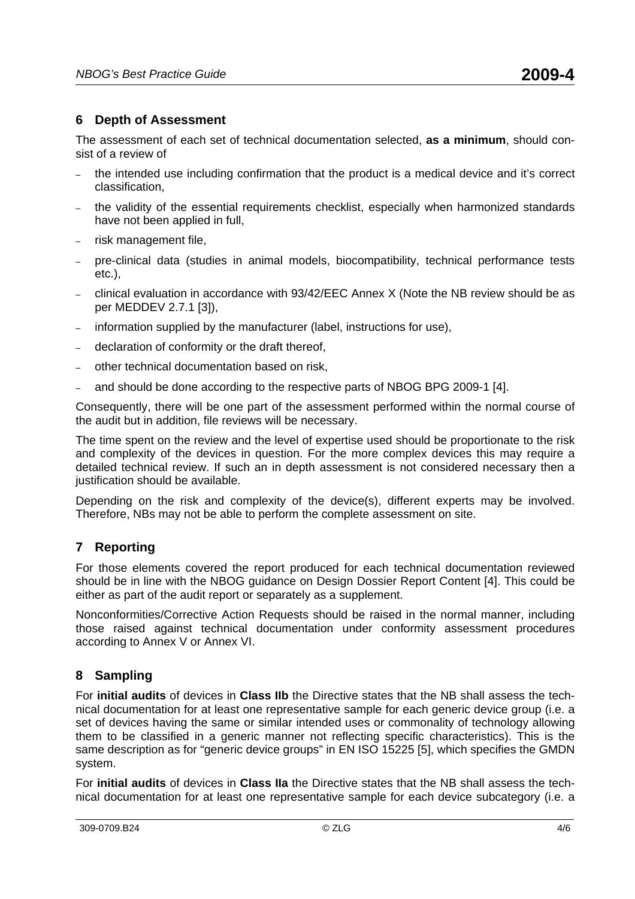### **6 Depth of Assessment**

The assessment of each set of technical documentation selected, **as a minimum**, should consist of a review of

- the intended use including confirmation that the product is a medical device and it's correct classification,
- the validity of the essential requirements checklist, especially when harmonized standards have not been applied in full,
- risk management file,
- pre-clinical data (studies in animal models, biocompatibility, technical performance tests etc.),
- clinical evaluation in accordance with 93/42/EEC Annex X (Note the NB review should be as per MEDDEV 2.7.1 [3]),
- information supplied by the manufacturer (label, instructions for use),
- declaration of conformity or the draft thereof,
- other technical documentation based on risk,
- and should be done according to the respective parts of NBOG BPG 2009-1 [4].

Consequently, there will be one part of the assessment performed within the normal course of the audit but in addition, file reviews will be necessary.

The time spent on the review and the level of expertise used should be proportionate to the risk and complexity of the devices in question. For the more complex devices this may require a detailed technical review. If such an in depth assessment is not considered necessary then a justification should be available.

Depending on the risk and complexity of the device(s), different experts may be involved. Therefore, NBs may not be able to perform the complete assessment on site.

## **7 Reporting**

For those elements covered the report produced for each technical documentation reviewed should be in line with the NBOG guidance on Design Dossier Report Content [4]. This could be either as part of the audit report or separately as a supplement.

Nonconformities/Corrective Action Requests should be raised in the normal manner, including those raised against technical documentation under conformity assessment procedures according to Annex V or Annex VI.

## **8 Sampling**

For **initial audits** of devices in **Class IIb** the Directive states that the NB shall assess the technical documentation for at least one representative sample for each generic device group (i.e. a set of devices having the same or similar intended uses or commonality of technology allowing them to be classified in a generic manner not reflecting specific characteristics). This is the same description as for "generic device groups" in EN ISO 15225 [5], which specifies the GMDN system.

For **initial audits** of devices in **Class IIa** the Directive states that the NB shall assess the technical documentation for at least one representative sample for each device subcategory (i.e. a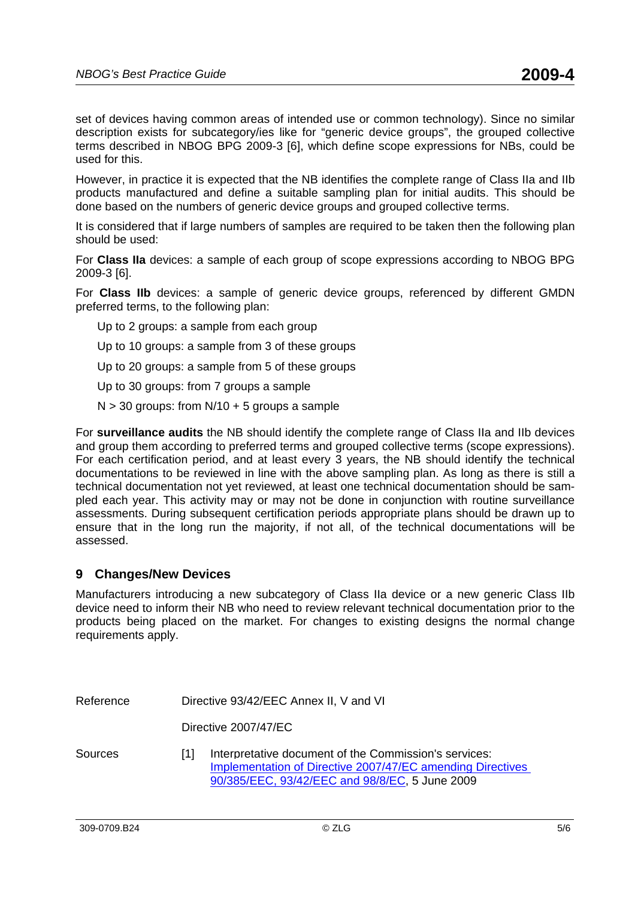set of devices having common areas of intended use or common technology). Since no similar description exists for subcategory/ies like for "generic device groups", the grouped collective terms described in NBOG BPG 2009-3 [6], which define scope expressions for NBs, could be used for this.

However, in practice it is expected that the NB identifies the complete range of Class IIa and IIb products manufactured and define a suitable sampling plan for initial audits. This should be done based on the numbers of generic device groups and grouped collective terms.

It is considered that if large numbers of samples are required to be taken then the following plan should be used:

For **Class IIa** devices: a sample of each group of scope expressions according to NBOG BPG 2009-3 [6].

For **Class IIb** devices: a sample of generic device groups, referenced by different GMDN preferred terms, to the following plan:

Up to 2 groups: a sample from each group

Up to 10 groups: a sample from 3 of these groups

Up to 20 groups: a sample from 5 of these groups

Up to 30 groups: from 7 groups a sample

 $N > 30$  groups: from  $N/10 + 5$  groups a sample

For **surveillance audits** the NB should identify the complete range of Class IIa and IIb devices and group them according to preferred terms and grouped collective terms (scope expressions). For each certification period, and at least every 3 years, the NB should identify the technical documentations to be reviewed in line with the above sampling plan. As long as there is still a technical documentation not yet reviewed, at least one technical documentation should be sampled each year. This activity may or may not be done in conjunction with routine surveillance assessments. During subsequent certification periods appropriate plans should be drawn up to ensure that in the long run the majority, if not all, of the technical documentations will be assessed.

#### **9 Changes/New Devices**

Manufacturers introducing a new subcategory of Class IIa device or a new generic Class IIb device need to inform their NB who need to review relevant technical documentation prior to the products being placed on the market. For changes to existing designs the normal change requirements apply.

Reference Directive 93/42/EEC Annex II, V and VI

Directive 2007/47/EC

Sources [1] Interpretative document of the Commission's services: [Implementation of Directive 2007/47/EC amending Directives](http://ec.europa.eu/enterprise/medical_devices/guide-stds-directives/transitionalperiod_2007-47-EC_guidance_final.pdf)  90/385/EEC, 93/42/EEC and 98/8/EC, 5 June 2009